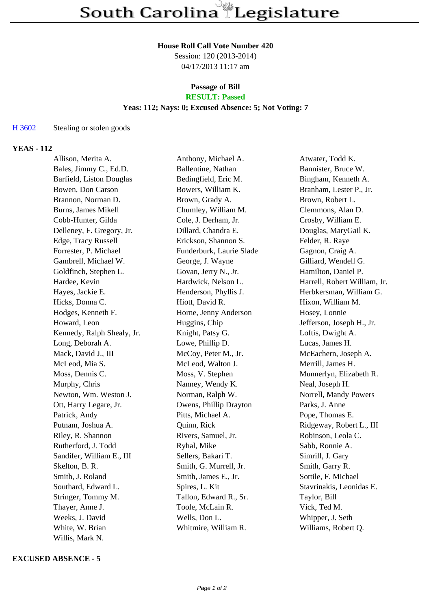# **House Roll Call Vote Number 420**

Session: 120 (2013-2014) 04/17/2013 11:17 am

#### **Passage of Bill RESULT: Passed**

# **Yeas: 112; Nays: 0; Excused Absence: 5; Not Voting: 7**

### H 3602 Stealing or stolen goods

# **YEAS - 112**

| Allison, Merita A.         | Anthony, Michael A.      | Atwater, Todd K.             |
|----------------------------|--------------------------|------------------------------|
| Bales, Jimmy C., Ed.D.     | Ballentine, Nathan       | Bannister, Bruce W.          |
| Barfield, Liston Douglas   | Bedingfield, Eric M.     | Bingham, Kenneth A.          |
| Bowen, Don Carson          | Bowers, William K.       | Branham, Lester P., Jr.      |
| Brannon, Norman D.         | Brown, Grady A.          | Brown, Robert L.             |
| Burns, James Mikell        | Chumley, William M.      | Clemmons, Alan D.            |
| Cobb-Hunter, Gilda         | Cole, J. Derham, Jr.     | Crosby, William E.           |
| Delleney, F. Gregory, Jr.  | Dillard, Chandra E.      | Douglas, MaryGail K.         |
| Edge, Tracy Russell        | Erickson, Shannon S.     | Felder, R. Raye              |
| Forrester, P. Michael      | Funderburk, Laurie Slade | Gagnon, Craig A.             |
| Gambrell, Michael W.       | George, J. Wayne         | Gilliard, Wendell G.         |
| Goldfinch, Stephen L.      | Govan, Jerry N., Jr.     | Hamilton, Daniel P.          |
| Hardee, Kevin              | Hardwick, Nelson L.      | Harrell, Robert William, Jr. |
| Hayes, Jackie E.           | Henderson, Phyllis J.    | Herbkersman, William G.      |
| Hicks, Donna C.            | Hiott, David R.          | Hixon, William M.            |
| Hodges, Kenneth F.         | Horne, Jenny Anderson    | Hosey, Lonnie                |
| Howard, Leon               | Huggins, Chip            | Jefferson, Joseph H., Jr.    |
| Kennedy, Ralph Shealy, Jr. | Knight, Patsy G.         | Loftis, Dwight A.            |
| Long, Deborah A.           | Lowe, Phillip D.         | Lucas, James H.              |
| Mack, David J., III        | McCoy, Peter M., Jr.     | McEachern, Joseph A.         |
| McLeod, Mia S.             | McLeod, Walton J.        | Merrill, James H.            |
| Moss, Dennis C.            | Moss, V. Stephen         | Munnerlyn, Elizabeth R.      |
| Murphy, Chris              | Nanney, Wendy K.         | Neal, Joseph H.              |
| Newton, Wm. Weston J.      | Norman, Ralph W.         | Norrell, Mandy Powers        |
| Ott, Harry Legare, Jr.     | Owens, Phillip Drayton   | Parks, J. Anne               |
| Patrick, Andy              | Pitts, Michael A.        | Pope, Thomas E.              |
| Putnam, Joshua A.          | Quinn, Rick              | Ridgeway, Robert L., III     |
| Riley, R. Shannon          | Rivers, Samuel, Jr.      | Robinson, Leola C.           |
| Rutherford, J. Todd        | Ryhal, Mike              | Sabb, Ronnie A.              |
| Sandifer, William E., III  | Sellers, Bakari T.       | Simrill, J. Gary             |
| Skelton, B. R.             | Smith, G. Murrell, Jr.   | Smith, Garry R.              |
| Smith, J. Roland           | Smith, James E., Jr.     | Sottile, F. Michael          |
| Southard, Edward L.        | Spires, L. Kit           | Stavrinakis, Leonidas E.     |
| Stringer, Tommy M.         | Tallon, Edward R., Sr.   | Taylor, Bill                 |
| Thayer, Anne J.            | Toole, McLain R.         | Vick, Ted M.                 |
| Weeks, J. David            | Wells, Don L.            | Whipper, J. Seth             |
| White, W. Brian            | Whitmire, William R.     | Williams, Robert Q.          |
| Willis, Mark N.            |                          |                              |

### **EXCUSED ABSENCE - 5**